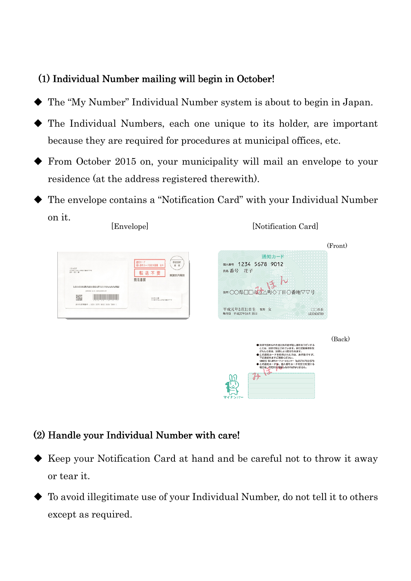## $(1)$  Individual Number mailing will begin in October!

- The "My Number" Individual Number system is about to begin in Japan.
- The Individual Numbers, each one unique to its holder, are important because they are required for procedures at municipal offices, etc.
- From October 2015 on, your municipality will mail an envelope to your residence (at the address registered therewith).
- The envelope contains a "Notification Card" with your Individual Number on it. [Notification Card] [Envelope]



## (2) Handle your Individual Number with care!

- Keep your Notification Card at hand and be careful not to throw it away or tear it.
- To avoid illegitimate use of your Individual Number, do not tell it to others except as required.